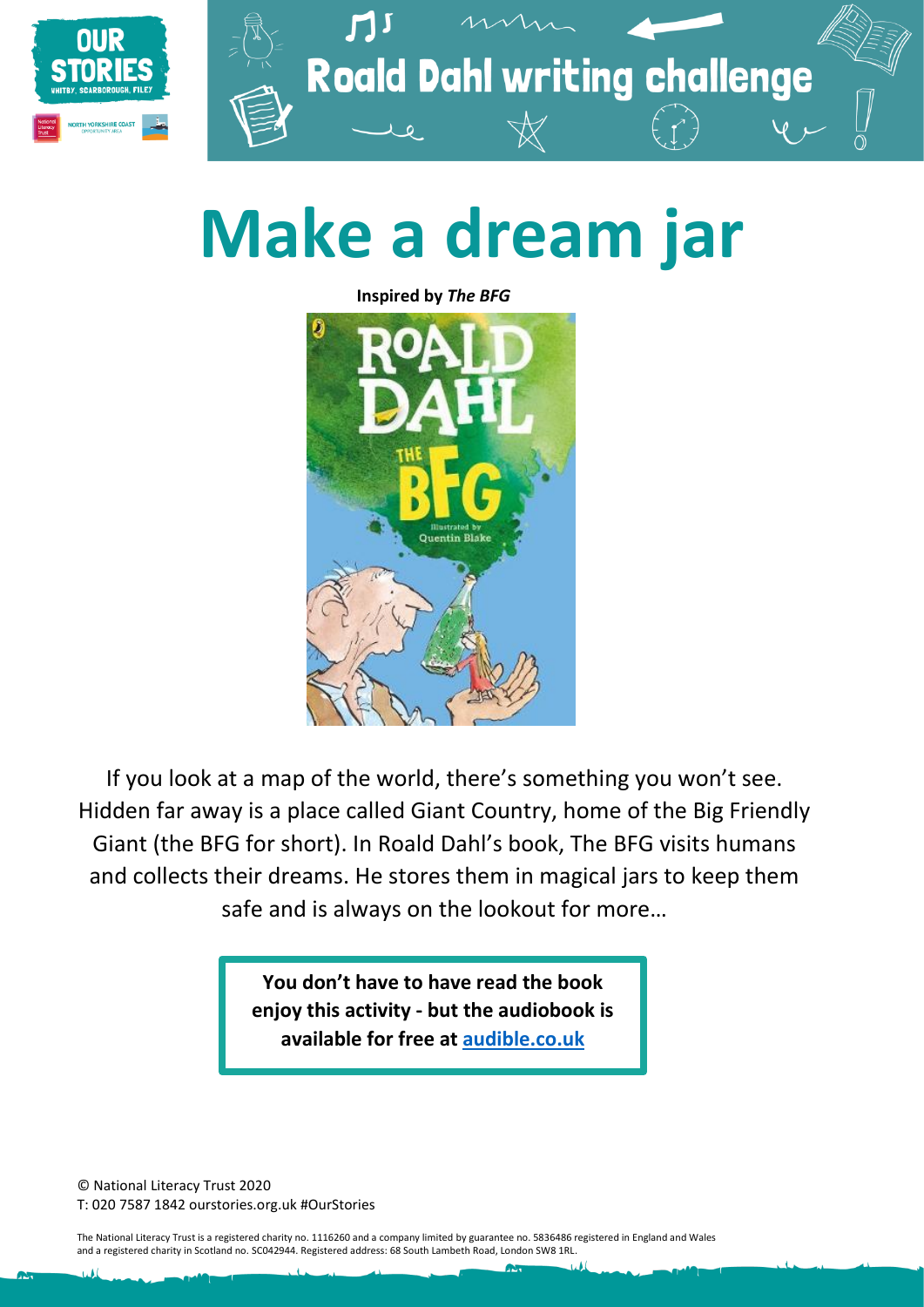

**Roald Dahl writing challenge** 

# **Make a dream jar**

**Inspired by** *The BFG*



If you look at a map of the world, there's something you won't see. Hidden far away is a place called Giant Country, home of the Big Friendly Giant (the BFG for short). In Roald Dahl's book, The BFG visits humans and collects their dreams. He stores them in magical jars to keep them safe and is always on the lookout for more…

> **You don't have to have read the book enjoy this activity - but the audiobook is available for free at [audible.co.uk](file://///NLT-EX/SHARED/new%20structure/Communications%20&%20Information/Hubs/9.%20NYC/Roald%20Dahl%20challenges/Print/audible.co.uk)**

© National Literacy Trust 2020 T: 020 7587 1842 ourstories.org.uk #OurStories

The National Literacy Trust is a registered charity no. 1116260 and a company limited by guarantee no. 5836486 registered in England and Wales and a registered charity in Scotland no. SC042944. Registered address: 68 South Lambeth Road, London SW8 1RL.